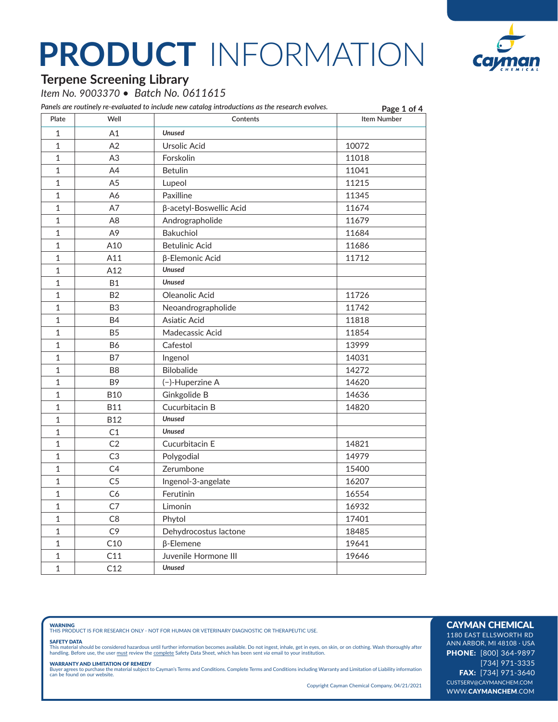

### **Terpene Screening Library**

*Item No. 9003370 • Batch No. 0611615*

*Panels are routinely re-evaluated to include new catalog introductions as the research evolves.*

|                |                | Panels are routinely re-evaluated to include new catalog introductions as the research evolves. | Page 1 of 4        |
|----------------|----------------|-------------------------------------------------------------------------------------------------|--------------------|
| Plate          | Well           | Contents                                                                                        | <b>Item Number</b> |
| $\mathbf 1$    | A1             | <b>Unused</b>                                                                                   |                    |
| $\mathbf{1}$   | A2             | Ursolic Acid                                                                                    | 10072              |
| $\mathbf{1}$   | A3             | Forskolin                                                                                       | 11018              |
| $\mathbf 1$    | A4             | <b>Betulin</b>                                                                                  | 11041              |
| $\mathbf 1$    | A <sub>5</sub> | Lupeol                                                                                          | 11215              |
| $\mathbf 1$    | Α6             | Paxilline                                                                                       | 11345              |
| $\mathbf 1$    | A7             | β-acetyl-Boswellic Acid                                                                         | 11674              |
| $\mathbf 1$    | A8             | Andrographolide                                                                                 | 11679              |
| $\mathbf{1}$   | A <sub>9</sub> | <b>Bakuchiol</b>                                                                                | 11684              |
| $\mathbf 1$    | A10            | <b>Betulinic Acid</b>                                                                           | 11686              |
| $\mathbf{1}$   | A11            | β-Elemonic Acid                                                                                 | 11712              |
| $\mathbf 1$    | A12            | <b>Unused</b>                                                                                   |                    |
| $1\,$          | <b>B1</b>      | <b>Unused</b>                                                                                   |                    |
| $\mathbf{1}$   | <b>B2</b>      | Oleanolic Acid                                                                                  | 11726              |
| $\mathbf 1$    | B <sub>3</sub> | Neoandrographolide                                                                              | 11742              |
| $\mathbf 1$    | <b>B4</b>      | Asiatic Acid                                                                                    | 11818              |
| $\mathbf{1}$   | <b>B5</b>      | Madecassic Acid                                                                                 | 11854              |
| $\mathbf 1$    | <b>B6</b>      | Cafestol                                                                                        | 13999              |
| $\mathbf 1$    | <b>B7</b>      | Ingenol                                                                                         | 14031              |
| $\mathbf 1$    | B <sub>8</sub> | Bilobalide                                                                                      | 14272              |
| $\mathbf{1}$   | B <sub>9</sub> | (-)-Huperzine A                                                                                 | 14620              |
| $\mathbf{1}$   | <b>B10</b>     | Ginkgolide B                                                                                    | 14636              |
| $\mathbf{1}$   | <b>B11</b>     | Cucurbitacin B                                                                                  | 14820              |
| $\mathbf{1}$   | <b>B12</b>     | <b>Unused</b>                                                                                   |                    |
| $\overline{1}$ | C1             | <b>Unused</b>                                                                                   |                    |
| $\mathbf 1$    | C <sub>2</sub> | Cucurbitacin E                                                                                  | 14821              |
| $\mathbf 1$    | C <sub>3</sub> | Polygodial                                                                                      | 14979              |
| $\mathbf 1$    | C4             | Zerumbone                                                                                       | 15400              |
| $\mathbf{1}$   | C <sub>5</sub> | Ingenol-3-angelate                                                                              | 16207              |
| $\mathbf 1$    | C <sub>6</sub> | Ferutinin                                                                                       | 16554              |
| $\mathbf 1$    | C7             | Limonin                                                                                         | 16932              |
| $\mathbf{1}$   | C <sub>8</sub> | Phytol                                                                                          | 17401              |
| $\mathbf 1$    | C <sub>9</sub> | Dehydrocostus lactone                                                                           | 18485              |
| $\mathbf 1$    | C10            | $\beta$ -Elemene                                                                                | 19641              |
| $\mathbf 1$    | C11            | Juvenile Hormone III                                                                            | 19646              |
| $\mathbf 1$    | C12            | <b>Unused</b>                                                                                   |                    |

**WARNING**<br>THIS PRODUCT IS FOR RESEARCH ONLY - NOT FOR HUMAN OR VETERINARY DIAGNOSTIC OR THERAPEUTIC USE.

#### SAFETY DATA

This material should be considered hazardous until further information becomes available. Do not ingest, inhale, get in eyes, on skin, or on clothing. Wash thoroughly after<br>handling. Before use, the user must review the co

**WARRANTY AND LIMITATION OF REMEDY**<br>Buyer agrees to purchase the material subject to Cayman's Terms and Conditions. Complete Terms and Conditions including Warranty and Limitation of Liability information<br>can be found on o

Copyright Cayman Chemical Company, 04/21/2021

### CAYMAN CHEMICAL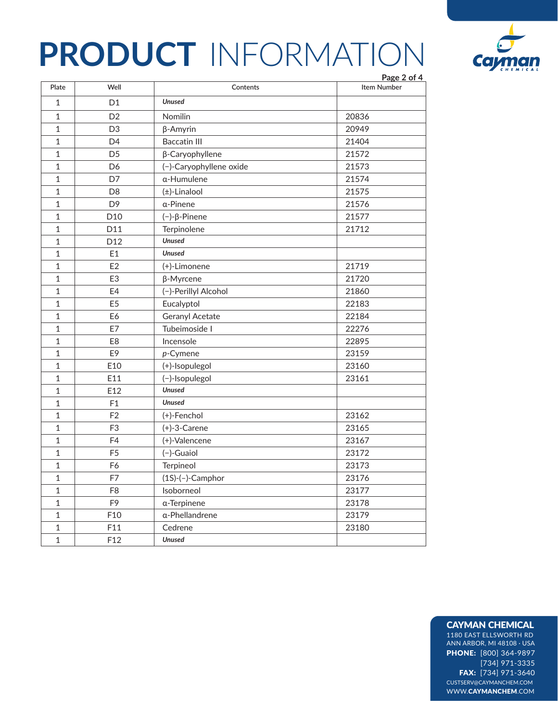

|                | Page 2 of 4     |                         |                    |
|----------------|-----------------|-------------------------|--------------------|
| Plate          | Well            | Contents                | <b>Item Number</b> |
| $\mathbf{1}$   | D1              | <b>Unused</b>           |                    |
| $\mathbf 1$    | D <sub>2</sub>  | Nomilin                 | 20836              |
| $\mathbf{1}$   | D <sub>3</sub>  | $\beta$ -Amyrin         | 20949              |
| $\mathbf{1}$   | D <sub>4</sub>  | <b>Baccatin III</b>     | 21404              |
| $\mathbf{1}$   | D <sub>5</sub>  | β-Caryophyllene         | 21572              |
| $\mathbf{1}$   | D <sub>6</sub>  | (-)-Caryophyllene oxide | 21573              |
| $\mathbf{1}$   | D7              | α-Humulene              | 21574              |
| $\mathbf 1$    | D <sub>8</sub>  | $(\pm)$ -Linalool       | 21575              |
| $\mathbf 1$    | D <sub>9</sub>  | $\alpha$ -Pinene        | 21576              |
| $\mathbf{1}$   | D <sub>10</sub> | $(-)$ - $\beta$ -Pinene | 21577              |
| $\mathbf 1$    | D11             | Terpinolene             | 21712              |
| $\mathbf{1}$   | D <sub>12</sub> | <b>Unused</b>           |                    |
| $\mathbf{1}$   | E1              | <b>Unused</b>           |                    |
| $\mathbf{1}$   | E <sub>2</sub>  | (+)-Limonene            | 21719              |
| $\mathbf{1}$   | E <sub>3</sub>  | $\beta$ -Myrcene        | 21720              |
| $\mathbf{1}$   | E4              | (-)-Perillyl Alcohol    | 21860              |
| $\mathbf{1}$   | E <sub>5</sub>  | Eucalyptol              | 22183              |
| $\mathbf{1}$   | E6              | <b>Geranyl Acetate</b>  | 22184              |
| $\mathbf{1}$   | E7              | Tubeimoside I           | 22276              |
| $\mathbf 1$    | E <sub>8</sub>  | Incensole               | 22895              |
| $\mathbf{1}$   | E9              | $p$ -Cymene             | 23159              |
| $\mathbf{1}$   | E10             | (+)-Isopulegol          | 23160              |
| $\mathbf{1}$   | E11             | (-)-Isopulegol          | 23161              |
| $\mathbf{1}$   | E12             | <b>Unused</b>           |                    |
| $\overline{1}$ | F1              | <b>Unused</b>           |                    |
| $\overline{1}$ | F <sub>2</sub>  | (+)-Fenchol             | 23162              |
| $\mathbf 1$    | F <sub>3</sub>  | $(+)$ -3-Carene         | 23165              |
| $\mathbf 1$    | F4              | (+)-Valencene           | 23167              |
| $\mathbf 1$    | F <sub>5</sub>  | (-)-Guaiol              | 23172              |
| $\mathbf{1}$   | F6              | Terpineol               | 23173              |
| $\mathbf{1}$   | F7              | $(1S)-(-)$ -Camphor     | 23176              |
| $\mathbf{1}$   | F <sub>8</sub>  | Isoborneol              | 23177              |
| $\mathbf{1}$   | F <sub>9</sub>  | α-Terpinene             | 23178              |
| $\mathbf{1}$   | F10             | α-Phellandrene          | 23179              |
| $\mathbf{1}$   | F11             | Cedrene                 | 23180              |
| $\mathbf 1$    | F <sub>12</sub> | <b>Unused</b>           |                    |

### CAYMAN CHEMICAL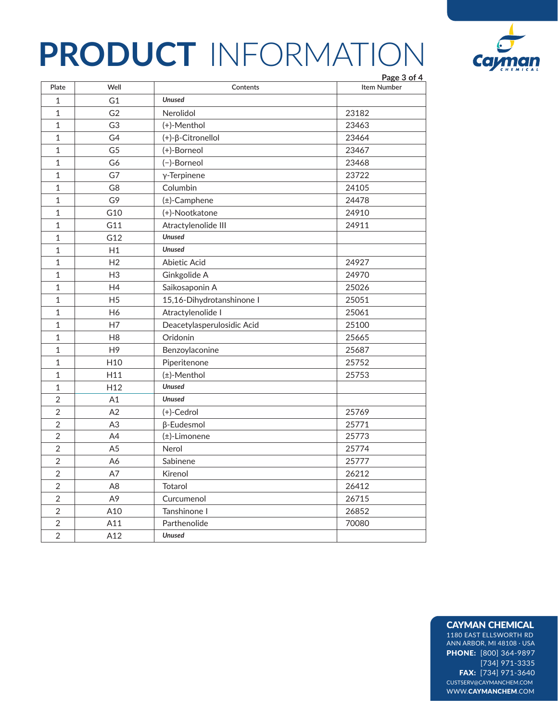

|                |                 |                            | Page 3 of 4        |
|----------------|-----------------|----------------------------|--------------------|
| Plate          | Well            | Contents                   | <b>Item Number</b> |
| $\mathbf 1$    | G1              | <b>Unused</b>              |                    |
| $\mathbf 1$    | G <sub>2</sub>  | Nerolidol                  | 23182              |
| $\mathbf 1$    | G <sub>3</sub>  | (+)-Menthol                | 23463              |
| $\mathbf 1$    | G4              | (+)-β-Citronellol          | 23464              |
| $\mathbf 1$    | G <sub>5</sub>  | (+)-Borneol                | 23467              |
| $\mathbf 1$    | G6              | (-)-Borneol                | 23468              |
| $\mathbf 1$    | G7              | $y$ -Terpinene             | 23722              |
| $\mathbf 1$    | G8              | Columbin                   | 24105              |
| $\mathbf 1$    | G9              | (±)-Camphene               | 24478              |
| $\mathbf{1}$   | G10             | (+)-Nootkatone             | 24910              |
| $\mathbf 1$    | G11             | Atractylenolide III        | 24911              |
| $\mathbf{1}$   | G12             | <b>Unused</b>              |                    |
| $\mathbf 1$    | H1              | <b>Unused</b>              |                    |
| $\mathbf{1}$   | H <sub>2</sub>  | Abietic Acid               | 24927              |
| $\mathbf 1$    | H <sub>3</sub>  | Ginkgolide A               | 24970              |
| $\mathbf{1}$   | H4              | Saikosaponin A             | 25026              |
| $\mathbf{1}$   | H <sub>5</sub>  | 15,16-Dihydrotanshinone I  | 25051              |
| $\mathbf{1}$   | H <sub>6</sub>  | Atractylenolide I          | 25061              |
| $\mathbf{1}$   | H7              | Deacetylasperulosidic Acid | 25100              |
| $\mathbf 1$    | H <sub>8</sub>  | Oridonin                   | 25665              |
| $\mathbf{1}$   | H <sub>9</sub>  | Benzoylaconine             | 25687              |
| $\mathbf 1$    | H <sub>10</sub> | Piperitenone               | 25752              |
| $\mathbf{1}$   | H11             | (±)-Menthol                | 25753              |
| $\mathbf{1}$   | H <sub>12</sub> | <b>Unused</b>              |                    |
| $\overline{2}$ | A1              | <b>Unused</b>              |                    |
| $\overline{2}$ | A2              | (+)-Cedrol                 | 25769              |
| $\overline{2}$ | A <sub>3</sub>  | <b>ß-Eudesmol</b>          | 25771              |
| $\overline{2}$ | A4              | (±)-Limonene               | 25773              |
| $\overline{2}$ | A5              | Nerol                      | 25774              |
| $\overline{2}$ | A6              | Sabinene                   | 25777              |
| $\overline{2}$ | A7              | Kirenol                    | 26212              |
| $\overline{2}$ | A <sub>8</sub>  | <b>Totarol</b>             | 26412              |
| $\overline{2}$ | A9              | Curcumenol                 | 26715              |
| $\overline{2}$ | A10             | Tanshinone I               | 26852              |
| $\overline{2}$ | A11             | Parthenolide               | 70080              |
| $\overline{2}$ | A12             | <b>Unused</b>              |                    |

### CAYMAN CHEMICAL